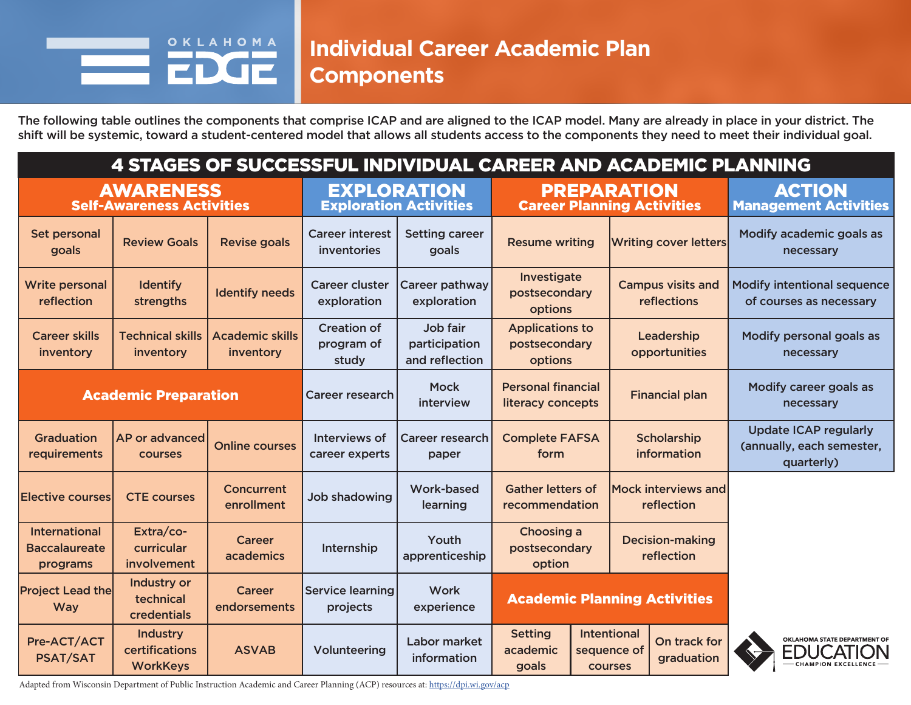#### OKLAHOMA **Individual Career Academic Plan Components**

The following table outlines the components that comprise ICAP and are aligned to the ICAP model. Many are already in place in your district. The shift will be systemic, toward a student-centered model that allows all students access to the components they need to meet their individual goal.

| 4 STAGES OF SUCCESSFUL INDIVIDUAL CAREER AND ACADEMIC PLANNING |                                                      |                                     |                                                     |                                             |                                                         |  |                                                                            |                              |                                               |                                                                         |  |
|----------------------------------------------------------------|------------------------------------------------------|-------------------------------------|-----------------------------------------------------|---------------------------------------------|---------------------------------------------------------|--|----------------------------------------------------------------------------|------------------------------|-----------------------------------------------|-------------------------------------------------------------------------|--|
|                                                                | <b>AWARENESS</b><br><b>Self-Awareness Activities</b> |                                     | <b>EXPLORATION</b><br><b>Exploration Activities</b> |                                             | <b>PREPARATION</b><br><b>Career Planning Activities</b> |  |                                                                            |                              | <b>ACTION</b><br><b>Management Activities</b> |                                                                         |  |
| Set personal<br>goals                                          | <b>Review Goals</b>                                  | <b>Revise goals</b>                 | <b>Career interest</b><br>inventories               | <b>Setting career</b><br>goals              | <b>Resume writing</b>                                   |  |                                                                            | <b>Writing cover letters</b> |                                               | Modify academic goals as<br>necessary                                   |  |
| <b>Write personal</b><br>reflection                            | <b>Identify</b><br>strengths                         | <b>Identify needs</b>               | <b>Career cluster</b><br>exploration                | Career pathway<br>exploration               | Investigate<br>postsecondary<br>options                 |  | <b>Campus visits and</b><br>reflections                                    |                              |                                               | <b>Modify intentional sequence</b><br>of courses as necessary           |  |
| <b>Career skills</b><br>inventory                              | <b>Technical skills</b><br>inventory                 | <b>Academic skills</b><br>inventory | <b>Creation of</b><br>program of<br>study           | Job fair<br>participation<br>and reflection | <b>Applications to</b><br>postsecondary<br>options      |  | Leadership<br>opportunities                                                |                              |                                               | Modify personal goals as<br>necessary                                   |  |
|                                                                | <b>Academic Preparation</b>                          |                                     | <b>Career research</b>                              | <b>Mock</b><br>interview                    | <b>Personal financial</b><br>literacy concepts          |  | <b>Financial plan</b>                                                      |                              |                                               | Modify career goals as<br>necessary                                     |  |
| Graduation<br>requirements                                     | AP or advanced<br><b>COURSES</b>                     | <b>Online courses</b>               | Interviews of<br>career experts                     | <b>Career research</b><br>paper             | <b>Complete FAFSA</b><br>form                           |  | Scholarship<br><b>information</b>                                          |                              |                                               | <b>Update ICAP regularly</b><br>(annually, each semester,<br>quarterly) |  |
| <b>Elective courses</b>                                        | <b>CTE courses</b>                                   | Concurrent<br>enrollment            | <b>Job shadowing</b>                                | <b>Work-based</b><br>learning               | <b>Gather letters of</b><br>recommendation              |  | <b>Mock interviews and</b><br>reflection                                   |                              |                                               |                                                                         |  |
| <b>International</b><br><b>Baccalaureate</b><br>programs       | Extra/co-<br>curricular<br>involvement               | <b>Career</b><br>academics          | Internship                                          | Youth<br>apprenticeship                     | Choosing a<br>postsecondary<br>option                   |  | <b>Decision-making</b><br>reflection                                       |                              |                                               |                                                                         |  |
| <b>Project Lead the</b><br><b>Way</b>                          | Industry or<br>technical<br>credentials              | <b>Career</b><br>endorsements       | <b>Service learning</b><br>projects                 | Work<br>experience                          | <b>Academic Planning Activities</b>                     |  |                                                                            |                              |                                               |                                                                         |  |
| Pre-ACT/ACT<br><b>PSAT/SAT</b>                                 | <b>Industry</b><br>certifications<br><b>WorkKeys</b> | <b>ASVAB</b>                        | Volunteering                                        | Labor market<br>information                 | <b>Setting</b><br>academic<br>goals                     |  | <b>Intentional</b><br>On track for<br>sequence of<br>graduation<br>courses |                              |                                               | OKLAHOMA STATE DEPARTMENT OF<br>EDUCATI<br>- CHAMPION EXCELLENCE -      |  |

Adapted from Wisconsin Department of Public Instruction Academic and Career Planning (ACP) resources at: https://dpi.wi.gov/acp